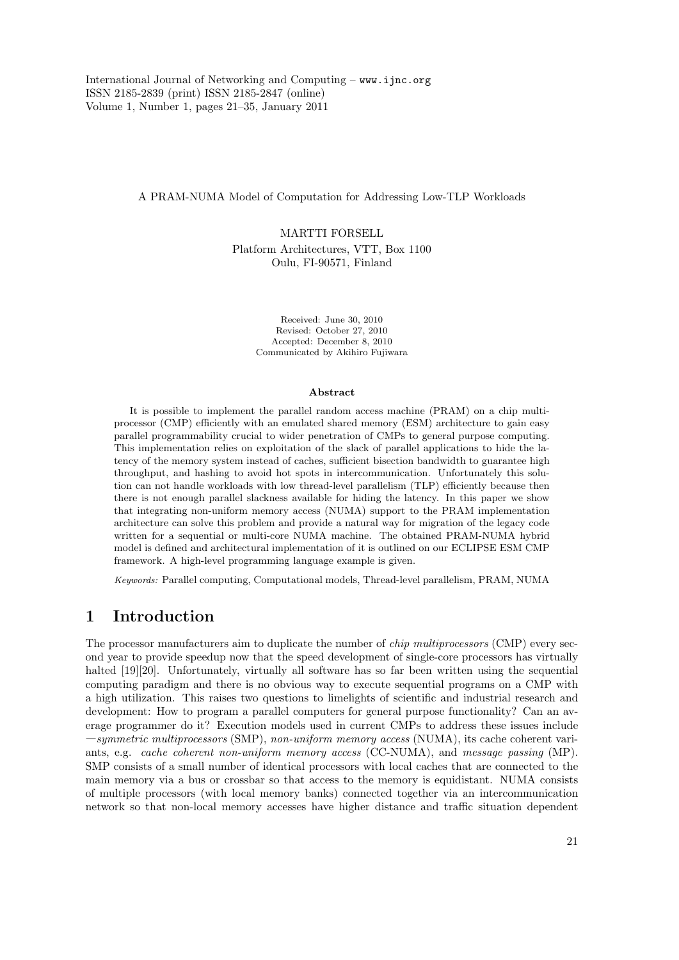#### A PRAM-NUMA Model of Computation for Addressing Low-TLP Workloads

MARTTI FORSELL Platform Architectures, VTT, Box 1100 Oulu, FI-90571, Finland

> Received: June 30, 2010 Revised: October 27, 2010 Accepted: December 8, 2010 Communicated by Akihiro Fujiwara

#### **Abstract**

It is possible to implement the parallel random access machine (PRAM) on a chip multiprocessor (CMP) efficiently with an emulated shared memory (ESM) architecture to gain easy parallel programmability crucial to wider penetration of CMPs to general purpose computing. This implementation relies on exploitation of the slack of parallel applications to hide the latency of the memory system instead of caches, sufficient bisection bandwidth to guarantee high throughput, and hashing to avoid hot spots in intercommunication. Unfortunately this solution can not handle workloads with low thread-level parallelism (TLP) efficiently because then there is not enough parallel slackness available for hiding the latency. In this paper we show that integrating non-uniform memory access (NUMA) support to the PRAM implementation architecture can solve this problem and provide a natural way for migration of the legacy code written for a sequential or multi-core NUMA machine. The obtained PRAM-NUMA hybrid model is defined and architectural implementation of it is outlined on our ECLIPSE ESM CMP framework. A high-level programming language example is given.

*Keywords:* Parallel computing, Computational models, Thread-level parallelism, PRAM, NUMA

# **1 Introduction**

The processor manufacturers aim to duplicate the number of *chip multiprocessors* (CMP) every second year to provide speedup now that the speed development of single-core processors has virtually halted [19][20]. Unfortunately, virtually all software has so far been written using the sequential computing paradigm and there is no obvious way to execute sequential programs on a CMP with a high utilization. This raises two questions to limelights of scientific and industrial research and development: How to program a parallel computers for general purpose functionality? Can an average programmer do it? Execution models used in current CMPs to address these issues include ―*symmetric multiprocessors* (SMP), *non-uniform memory access* (NUMA), its cache coherent variants, e.g. *cache coherent non-uniform memory access* (CC-NUMA), and *message passing* (MP). SMP consists of a small number of identical processors with local caches that are connected to the main memory via a bus or crossbar so that access to the memory is equidistant. NUMA consists of multiple processors (with local memory banks) connected together via an intercommunication network so that non-local memory accesses have higher distance and traffic situation dependent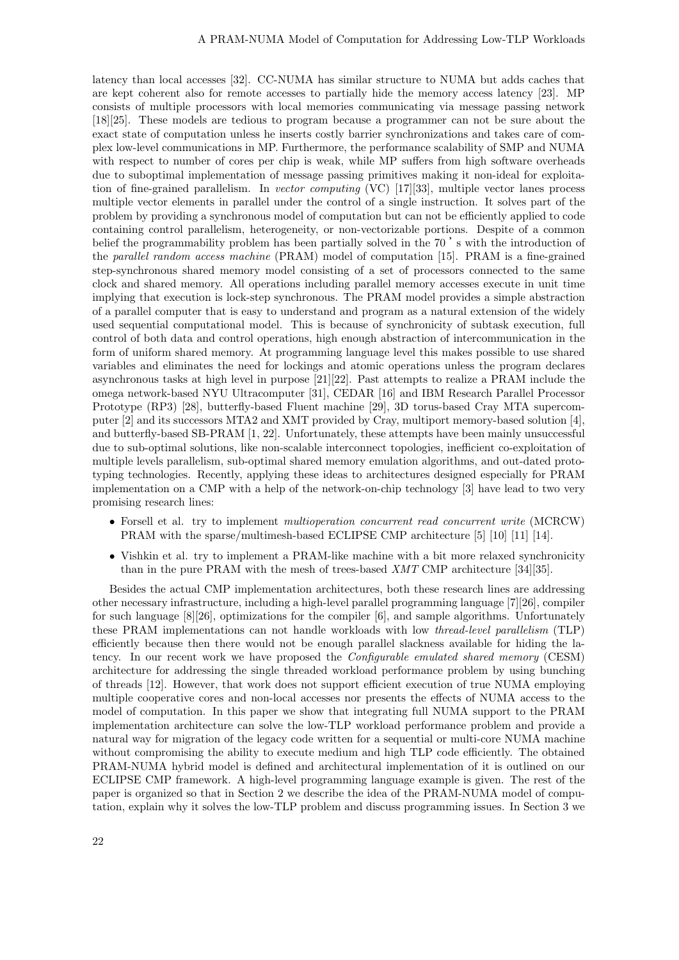latency than local accesses [32]. CC-NUMA has similar structure to NUMA but adds caches that are kept coherent also for remote accesses to partially hide the memory access latency [23]. MP consists of multiple processors with local memories communicating via message passing network [18][25]. These models are tedious to program because a programmer can not be sure about the exact state of computation unless he inserts costly barrier synchronizations and takes care of complex low-level communications in MP. Furthermore, the performance scalability of SMP and NUMA with respect to number of cores per chip is weak, while MP suffers from high software overheads due to suboptimal implementation of message passing primitives making it non-ideal for exploitation of fine-grained parallelism. In *vector computing* (VC) [17][33], multiple vector lanes process multiple vector elements in parallel under the control of a single instruction. It solves part of the problem by providing a synchronous model of computation but can not be efficiently applied to code containing control parallelism, heterogeneity, or non-vectorizable portions. Despite of a common belief the programmability problem has been partially solved in the 70 's with the introduction of the *parallel random access machine* (PRAM) model of computation [15]. PRAM is a fine-grained step-synchronous shared memory model consisting of a set of processors connected to the same clock and shared memory. All operations including parallel memory accesses execute in unit time implying that execution is lock-step synchronous. The PRAM model provides a simple abstraction of a parallel computer that is easy to understand and program as a natural extension of the widely used sequential computational model. This is because of synchronicity of subtask execution, full control of both data and control operations, high enough abstraction of intercommunication in the form of uniform shared memory. At programming language level this makes possible to use shared variables and eliminates the need for lockings and atomic operations unless the program declares asynchronous tasks at high level in purpose [21][22]. Past attempts to realize a PRAM include the omega network-based NYU Ultracomputer [31], CEDAR [16] and IBM Research Parallel Processor Prototype (RP3) [28], butterfly-based Fluent machine [29], 3D torus-based Cray MTA supercomputer [2] and its successors MTA2 and XMT provided by Cray, multiport memory-based solution [4], and butterfly-based SB-PRAM [1, 22]. Unfortunately, these attempts have been mainly unsuccessful due to sub-optimal solutions, like non-scalable interconnect topologies, inefficient co-exploitation of multiple levels parallelism, sub-optimal shared memory emulation algorithms, and out-dated prototyping technologies. Recently, applying these ideas to architectures designed especially for PRAM implementation on a CMP with a help of the network-on-chip technology [3] have lead to two very promising research lines:

- Forsell et al. try to implement *multioperation concurrent read concurrent write* (MCRCW) PRAM with the sparse/multimesh-based ECLIPSE CMP architecture [5] [10] [11] [14].
- Vishkin et al. try to implement a PRAM-like machine with a bit more relaxed synchronicity than in the pure PRAM with the mesh of trees-based *XMT* CMP architecture [34][35].

Besides the actual CMP implementation architectures, both these research lines are addressing other necessary infrastructure, including a high-level parallel programming language [7][26], compiler for such language [8][26], optimizations for the compiler [6], and sample algorithms. Unfortunately these PRAM implementations can not handle workloads with low *thread-level parallelism* (TLP) efficiently because then there would not be enough parallel slackness available for hiding the latency. In our recent work we have proposed the *Configurable emulated shared memory* (CESM) architecture for addressing the single threaded workload performance problem by using bunching of threads [12]. However, that work does not support efficient execution of true NUMA employing multiple cooperative cores and non-local accesses nor presents the effects of NUMA access to the model of computation. In this paper we show that integrating full NUMA support to the PRAM implementation architecture can solve the low-TLP workload performance problem and provide a natural way for migration of the legacy code written for a sequential or multi-core NUMA machine without compromising the ability to execute medium and high TLP code efficiently. The obtained PRAM-NUMA hybrid model is defined and architectural implementation of it is outlined on our ECLIPSE CMP framework. A high-level programming language example is given. The rest of the paper is organized so that in Section 2 we describe the idea of the PRAM-NUMA model of computation, explain why it solves the low-TLP problem and discuss programming issues. In Section 3 we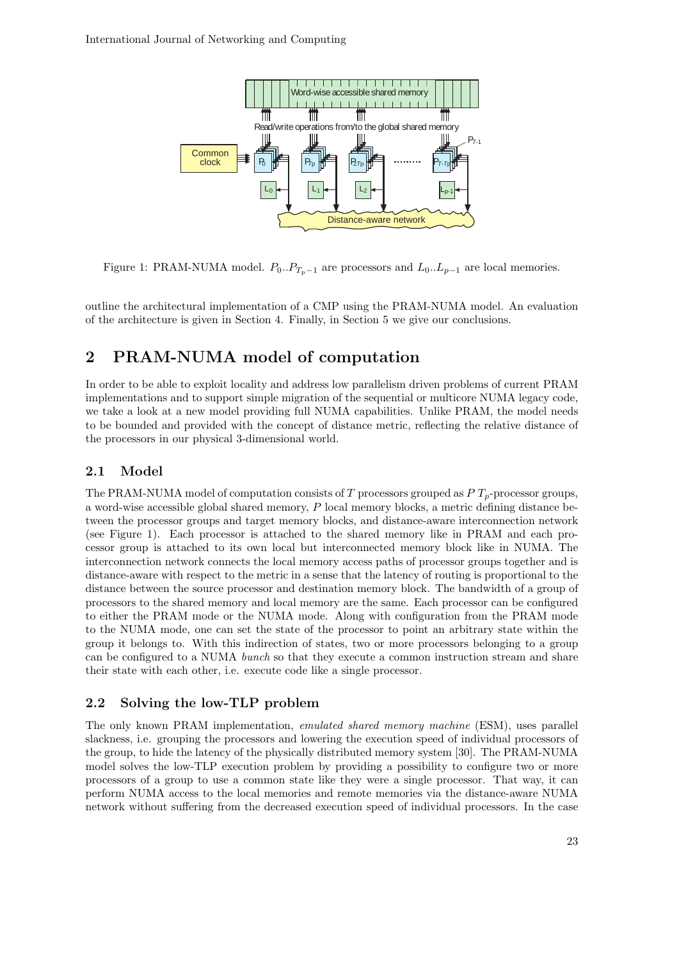

Figure 1: PRAM-NUMA model.  $P_0 \cdot P_{T_n-1}$  are processors and  $L_0 \cdot L_{p-1}$  are local memories.

outline the architectural implementation of a CMP using the PRAM-NUMA model. An evaluation of the architecture is given in Section 4. Finally, in Section 5 we give our conclusions.

# **2 PRAM-NUMA model of computation**

In order to be able to exploit locality and address low parallelism driven problems of current PRAM implementations and to support simple migration of the sequential or multicore NUMA legacy code, we take a look at a new model providing full NUMA capabilities. Unlike PRAM, the model needs to be bounded and provided with the concept of distance metric, reflecting the relative distance of the processors in our physical 3-dimensional world.

### **2.1 Model**

The PRAM-NUMA model of computation consists of *T* processors grouped as *P Tp*-processor groups, a word-wise accessible global shared memory, *P* local memory blocks, a metric defining distance between the processor groups and target memory blocks, and distance-aware interconnection network (see Figure 1). Each processor is attached to the shared memory like in PRAM and each processor group is attached to its own local but interconnected memory block like in NUMA. The interconnection network connects the local memory access paths of processor groups together and is distance-aware with respect to the metric in a sense that the latency of routing is proportional to the distance between the source processor and destination memory block. The bandwidth of a group of processors to the shared memory and local memory are the same. Each processor can be configured to either the PRAM mode or the NUMA mode. Along with configuration from the PRAM mode to the NUMA mode, one can set the state of the processor to point an arbitrary state within the group it belongs to. With this indirection of states, two or more processors belonging to a group can be configured to a NUMA *bunch* so that they execute a common instruction stream and share their state with each other, i.e. execute code like a single processor.

### **2.2 Solving the low-TLP problem**

The only known PRAM implementation, *emulated shared memory machine* (ESM), uses parallel slackness, i.e. grouping the processors and lowering the execution speed of individual processors of the group, to hide the latency of the physically distributed memory system [30]. The PRAM-NUMA model solves the low-TLP execution problem by providing a possibility to configure two or more processors of a group to use a common state like they were a single processor. That way, it can perform NUMA access to the local memories and remote memories via the distance-aware NUMA network without suffering from the decreased execution speed of individual processors. In the case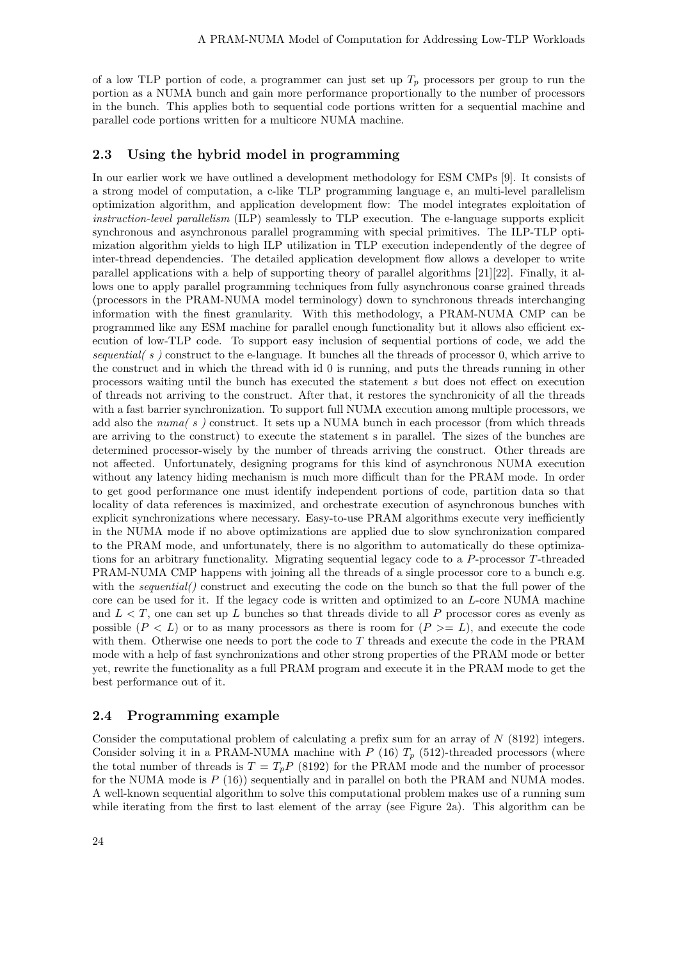of a low TLP portion of code, a programmer can just set up  $T_p$  processors per group to run the portion as a NUMA bunch and gain more performance proportionally to the number of processors in the bunch. This applies both to sequential code portions written for a sequential machine and parallel code portions written for a multicore NUMA machine.

### **2.3 Using the hybrid model in programming**

In our earlier work we have outlined a development methodology for ESM CMPs [9]. It consists of a strong model of computation, a c-like TLP programming language e, an multi-level parallelism optimization algorithm, and application development flow: The model integrates exploitation of *instruction-level parallelism* (ILP) seamlessly to TLP execution. The e-language supports explicit synchronous and asynchronous parallel programming with special primitives. The ILP-TLP optimization algorithm yields to high ILP utilization in TLP execution independently of the degree of inter-thread dependencies. The detailed application development flow allows a developer to write parallel applications with a help of supporting theory of parallel algorithms [21][22]. Finally, it allows one to apply parallel programming techniques from fully asynchronous coarse grained threads (processors in the PRAM-NUMA model terminology) down to synchronous threads interchanging information with the finest granularity. With this methodology, a PRAM-NUMA CMP can be programmed like any ESM machine for parallel enough functionality but it allows also efficient execution of low-TLP code. To support easy inclusion of sequential portions of code, we add the *sequential( s )* construct to the e-language. It bunches all the threads of processor 0, which arrive to the construct and in which the thread with id 0 is running, and puts the threads running in other processors waiting until the bunch has executed the statement *s* but does not effect on execution of threads not arriving to the construct. After that, it restores the synchronicity of all the threads with a fast barrier synchronization. To support full NUMA execution among multiple processors, we add also the *numa( s )* construct. It sets up a NUMA bunch in each processor (from which threads are arriving to the construct) to execute the statement s in parallel. The sizes of the bunches are determined processor-wisely by the number of threads arriving the construct. Other threads are not affected. Unfortunately, designing programs for this kind of asynchronous NUMA execution without any latency hiding mechanism is much more difficult than for the PRAM mode. In order to get good performance one must identify independent portions of code, partition data so that locality of data references is maximized, and orchestrate execution of asynchronous bunches with explicit synchronizations where necessary. Easy-to-use PRAM algorithms execute very inefficiently in the NUMA mode if no above optimizations are applied due to slow synchronization compared to the PRAM mode, and unfortunately, there is no algorithm to automatically do these optimizations for an arbitrary functionality. Migrating sequential legacy code to a *P*-processor *T*-threaded PRAM-NUMA CMP happens with joining all the threads of a single processor core to a bunch e.g. with the *sequential()* construct and executing the code on the bunch so that the full power of the core can be used for it. If the legacy code is written and optimized to an *L*-core NUMA machine and *L < T*, one can set up *L* bunches so that threads divide to all *P* processor cores as evenly as possible  $(P < L)$  or to as many processors as there is room for  $(P \geq L)$ , and execute the code with them. Otherwise one needs to port the code to *T* threads and execute the code in the PRAM mode with a help of fast synchronizations and other strong properties of the PRAM mode or better yet, rewrite the functionality as a full PRAM program and execute it in the PRAM mode to get the best performance out of it.

#### **2.4 Programming example**

Consider the computational problem of calculating a prefix sum for an array of *N* (8192) integers. Consider solving it in a PRAM-NUMA machine with  $P(16)$   $T_p(512)$ -threaded processors (where the total number of threads is  $T = T_p P$  (8192) for the PRAM mode and the number of processor for the NUMA mode is *P* (16)) sequentially and in parallel on both the PRAM and NUMA modes. A well-known sequential algorithm to solve this computational problem makes use of a running sum while iterating from the first to last element of the array (see Figure 2a). This algorithm can be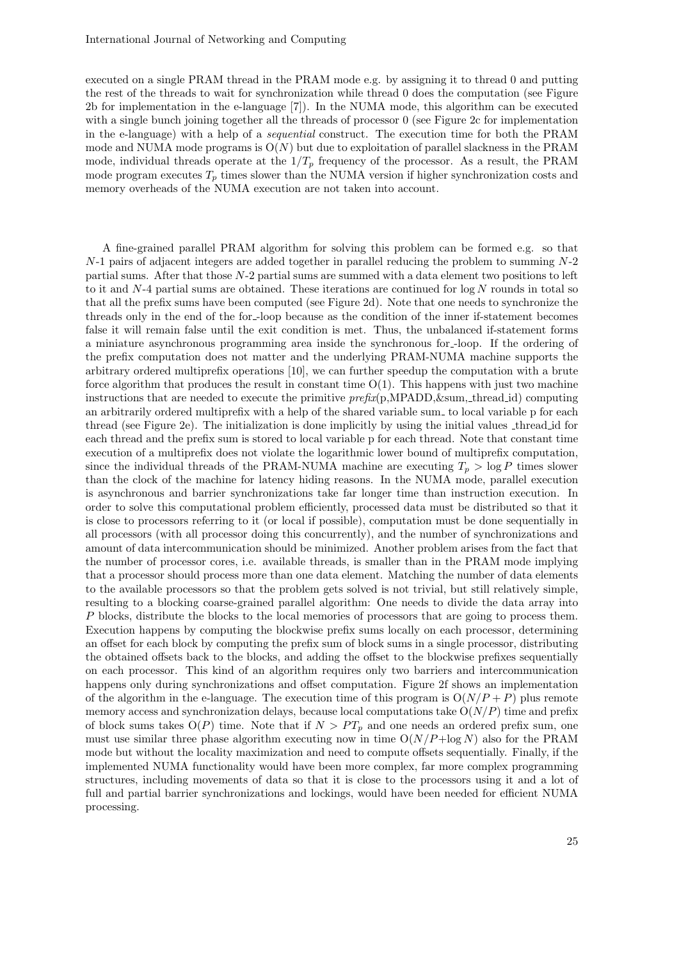executed on a single PRAM thread in the PRAM mode e.g. by assigning it to thread 0 and putting the rest of the threads to wait for synchronization while thread 0 does the computation (see Figure 2b for implementation in the e-language [7]). In the NUMA mode, this algorithm can be executed with a single bunch joining together all the threads of processor 0 (see Figure 2c for implementation in the e-language) with a help of a *sequential* construct. The execution time for both the PRAM mode and NUMA mode programs is  $O(N)$  but due to exploitation of parallel slackness in the PRAM mode, individual threads operate at the  $1/T_p$  frequency of the processor. As a result, the PRAM mode program executes  $T_p$  times slower than the NUMA version if higher synchronization costs and memory overheads of the NUMA execution are not taken into account.

A fine-grained parallel PRAM algorithm for solving this problem can be formed e.g. so that *N*-1 pairs of adjacent integers are added together in parallel reducing the problem to summing *N*-2 partial sums. After that those *N*-2 partial sums are summed with a data element two positions to left to it and *N*-4 partial sums are obtained. These iterations are continued for log *N* rounds in total so that all the prefix sums have been computed (see Figure 2d). Note that one needs to synchronize the threads only in the end of the for -loop because as the condition of the inner if-statement becomes false it will remain false until the exit condition is met. Thus, the unbalanced if-statement forms a miniature asynchronous programming area inside the synchronous for -loop. If the ordering of the prefix computation does not matter and the underlying PRAM-NUMA machine supports the arbitrary ordered multiprefix operations [10], we can further speedup the computation with a brute force algorithm that produces the result in constant time  $O(1)$ . This happens with just two machine instructions that are needed to execute the primitive *prefix*(p,MPADD,&sum, thread id) computing an arbitrarily ordered multiprefix with a help of the shared variable sum to local variable p for each thread (see Figure 2e). The initialization is done implicitly by using the initial values thread id for each thread and the prefix sum is stored to local variable p for each thread. Note that constant time execution of a multiprefix does not violate the logarithmic lower bound of multiprefix computation, since the individual threads of the PRAM-NUMA machine are executing  $T_p > \log P$  times slower than the clock of the machine for latency hiding reasons. In the NUMA mode, parallel execution is asynchronous and barrier synchronizations take far longer time than instruction execution. In order to solve this computational problem efficiently, processed data must be distributed so that it is close to processors referring to it (or local if possible), computation must be done sequentially in all processors (with all processor doing this concurrently), and the number of synchronizations and amount of data intercommunication should be minimized. Another problem arises from the fact that the number of processor cores, i.e. available threads, is smaller than in the PRAM mode implying that a processor should process more than one data element. Matching the number of data elements to the available processors so that the problem gets solved is not trivial, but still relatively simple, resulting to a blocking coarse-grained parallel algorithm: One needs to divide the data array into *P* blocks, distribute the blocks to the local memories of processors that are going to process them. Execution happens by computing the blockwise prefix sums locally on each processor, determining an offset for each block by computing the prefix sum of block sums in a single processor, distributing the obtained offsets back to the blocks, and adding the offset to the blockwise prefixes sequentially on each processor. This kind of an algorithm requires only two barriers and intercommunication happens only during synchronizations and offset computation. Figure 2f shows an implementation of the algorithm in the e-language. The execution time of this program is  $O(N/P + P)$  plus remote memory access and synchronization delays, because local computations take O(*N/P*) time and prefix of block sums takes  $O(P)$  time. Note that if  $N > PT_p$  and one needs an ordered prefix sum, one must use similar three phase algorithm executing now in time O(*N*/*P*+log *N*) also for the PRAM mode but without the locality maximization and need to compute offsets sequentially. Finally, if the implemented NUMA functionality would have been more complex, far more complex programming structures, including movements of data so that it is close to the processors using it and a lot of full and partial barrier synchronizations and lockings, would have been needed for efficient NUMA processing.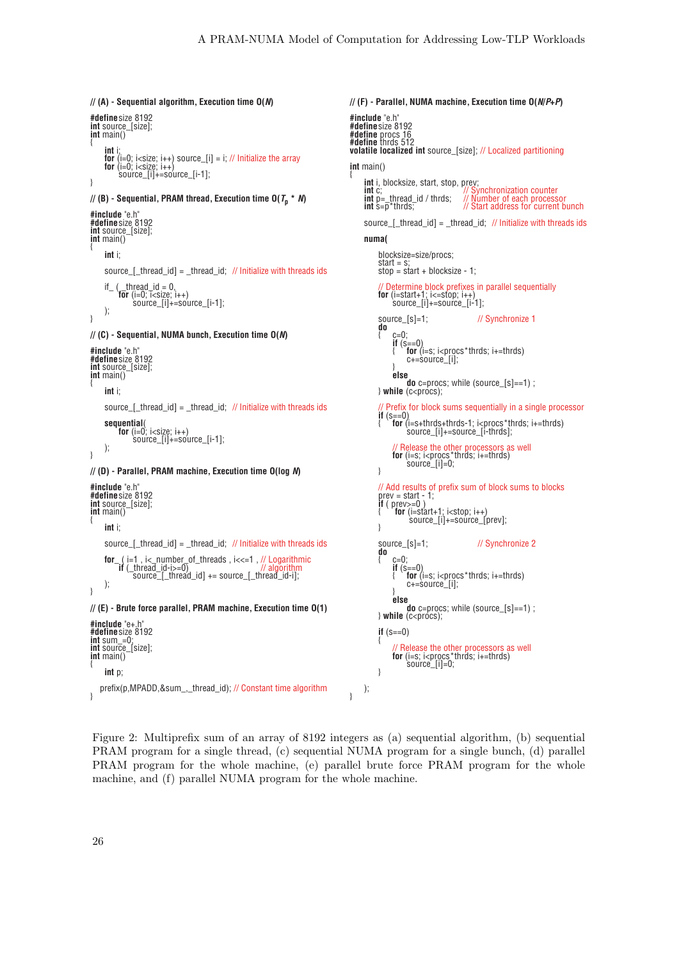```
// (A) - Sequential algorithm, Execution time O(N)
#definesize 8192
int source_[size];<br>int main()
      int i;<br>for (i=0; i<size; i++) source_[i] = i; // Initialize the array<br>for (i=0; i<size; i++) ________
 source_[i]+=source_[i-1]; }
//(B) - Sequential, PRAM thread, Execution time O(T_n * M)#include "e.h"
#definesize 8192
int source_[size]; int main() {
     int i;
     source_[_thread_id] = _thread_id; // Initialize with threads ids
      if<sub>_</sub> (_thread_id = 0,<br>for (i=0; i<size; i++)
 //source_[i]+=source_[i-1]<br>}   }
// (C) - Sequential, NUMA bunch, Execution time O(N)
 #include "e.h"
#definesize 8192
int source_[size]; int main() {
     int i;
     source[]thread_id] = _thread_id; // Initialize with threads ids
     sequential( for (i=0; i<size; i++)
source_[i]+=source_[i-1];<br>}
// (D) - Parallel, PRAM machine, Execution time O(log N)
#include "e.h"
#definesize 8192
int source_[size];<br>int main()
     int i;
     source_[_thread_id] = _thread_id; // Initialize with threads ids
for_ ( i=1 , i<_number_of_threads , i<<=1 , // Logarithmic<br>
if (_thread_id-i>=0)<br>
source_[_thread_id] += source_[_thread_id-i];<br>
);
// (E) - Brute force parallel, PRAM machine, Execution time O(1)
 #include "e+.h"
#definesize 8192
int sum_=0; int source_[size]; int main() {
     int p;
    prefix(p,MPADD,&sum_,_thread_id); // Constant time algorithm
                                                                                                #include "e.h"
                                                                                                #definesize 8192
                                                                                                     numa(
                                                                                                          {
                                                                                               \, );
```
**// (F) - Parallel, NUMA machine, Execution time O(N/P+P) #define** procs 16 **#define** thrds 512 **volatile localized int** source\_[size]; // Localized partitioning **int** main()<br>{**int** i, blocksize, start, stop, prev; **int** c; **int** p=\_thread\_id / thrds; // Synchronization counter **int** p=\_thread\_id / thrds; // Number of each processor **int** s=p\*thrds; // Start address for current bunch source\_[\_thread\_id] = \_thread\_id; // Initialize with threads ids blocksize=size/procs; start =  $s$ ;  $stop = start + blocksize - 1;$ // Determine block prefixes in parallel sequentially **for** (i=start+1; i<=stop; i++) source\_[i]+=source\_[i-1]; source\_[s]=1; // Synchronize 1<br>**do**<br>{ c=0: { c=0; **if** (s==0) { **for** (i=s; i<procs\*thrds; i+=thrds) c+=source\_[i]; } **else do** c=procs; while (source\_[s]==1) ;<br>} while (c<procs); // Prefix for block sums sequentially in a single processor **if** (s==0)<br>{ **for** (i=s+thrds+thrds-1; i<procs\*thrds; i+=thrds)<br>source\_[i]+=source\_[i-thrds]; // Release the other processors as well **for** (i=s; i<procs\*thrds; i+=thrds) source\_[i]=0; } // Add results of prefix sum of block sums to blocks prev = start - 1;<br>**if** ( prev>=0 )  $\int$  **for** (i=start+1; i<stop; i++) source\_[i]+=source\_[prev]; source\_[s]=1; // Synchronize 2 **do** {  $c=0;$ <br>**if** (s==0) { ` **for** (i=s; i<procs\*thrds; i+=thrds)<br>c+=source\_[i];<br>} **else do** c=procs; while (source\_[s]==1) ; } **while** (c<procs); **if** (s==0) // Release the other processors as well **for** (i=s; i<procs\*thrds; i+=thrds) source\_[i]=0; }

Figure 2: Multiprefix sum of an array of 8192 integers as (a) sequential algorithm, (b) sequential PRAM program for a single thread, (c) sequential NUMA program for a single bunch, (d) parallel PRAM program for the whole machine, (e) parallel brute force PRAM program for the whole machine, and (f) parallel NUMA program for the whole machine.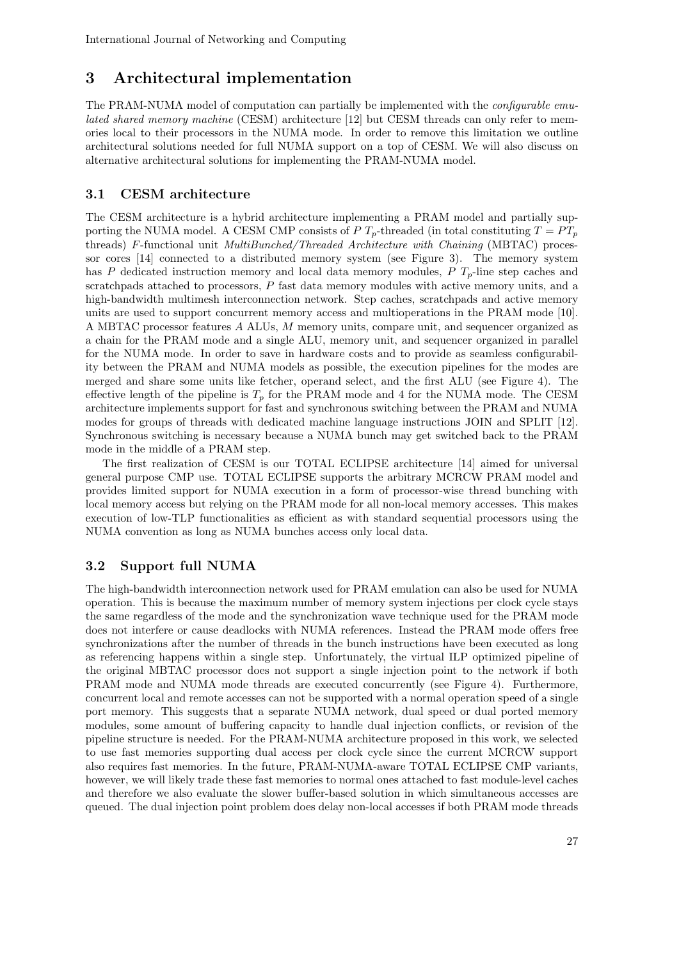# **3 Architectural implementation**

The PRAM-NUMA model of computation can partially be implemented with the *configurable emulated shared memory machine* (CESM) architecture [12] but CESM threads can only refer to memories local to their processors in the NUMA mode. In order to remove this limitation we outline architectural solutions needed for full NUMA support on a top of CESM. We will also discuss on alternative architectural solutions for implementing the PRAM-NUMA model.

### **3.1 CESM architecture**

The CESM architecture is a hybrid architecture implementing a PRAM model and partially supporting the NUMA model. A CESM CMP consists of  $P T_p$ -threaded (in total constituting  $T = PT_p$ threads) *F*-functional unit *MultiBunched/Threaded Architecture with Chaining* (MBTAC) processor cores [14] connected to a distributed memory system (see Figure 3). The memory system has *P* dedicated instruction memory and local data memory modules, *P Tp*-line step caches and scratchpads attached to processors, *P* fast data memory modules with active memory units, and a high-bandwidth multimesh interconnection network. Step caches, scratchpads and active memory units are used to support concurrent memory access and multioperations in the PRAM mode [10]. A MBTAC processor features *A* ALUs, *M* memory units, compare unit, and sequencer organized as a chain for the PRAM mode and a single ALU, memory unit, and sequencer organized in parallel for the NUMA mode. In order to save in hardware costs and to provide as seamless configurability between the PRAM and NUMA models as possible, the execution pipelines for the modes are merged and share some units like fetcher, operand select, and the first ALU (see Figure 4). The effective length of the pipeline is  $T_p$  for the PRAM mode and 4 for the NUMA mode. The CESM architecture implements support for fast and synchronous switching between the PRAM and NUMA modes for groups of threads with dedicated machine language instructions JOIN and SPLIT [12]. Synchronous switching is necessary because a NUMA bunch may get switched back to the PRAM mode in the middle of a PRAM step.

The first realization of CESM is our TOTAL ECLIPSE architecture [14] aimed for universal general purpose CMP use. TOTAL ECLIPSE supports the arbitrary MCRCW PRAM model and provides limited support for NUMA execution in a form of processor-wise thread bunching with local memory access but relying on the PRAM mode for all non-local memory accesses. This makes execution of low-TLP functionalities as efficient as with standard sequential processors using the NUMA convention as long as NUMA bunches access only local data.

#### **3.2 Support full NUMA**

The high-bandwidth interconnection network used for PRAM emulation can also be used for NUMA operation. This is because the maximum number of memory system injections per clock cycle stays the same regardless of the mode and the synchronization wave technique used for the PRAM mode does not interfere or cause deadlocks with NUMA references. Instead the PRAM mode offers free synchronizations after the number of threads in the bunch instructions have been executed as long as referencing happens within a single step. Unfortunately, the virtual ILP optimized pipeline of the original MBTAC processor does not support a single injection point to the network if both PRAM mode and NUMA mode threads are executed concurrently (see Figure 4). Furthermore, concurrent local and remote accesses can not be supported with a normal operation speed of a single port memory. This suggests that a separate NUMA network, dual speed or dual ported memory modules, some amount of buffering capacity to handle dual injection conflicts, or revision of the pipeline structure is needed. For the PRAM-NUMA architecture proposed in this work, we selected to use fast memories supporting dual access per clock cycle since the current MCRCW support also requires fast memories. In the future, PRAM-NUMA-aware TOTAL ECLIPSE CMP variants, however, we will likely trade these fast memories to normal ones attached to fast module-level caches and therefore we also evaluate the slower buffer-based solution in which simultaneous accesses are queued. The dual injection point problem does delay non-local accesses if both PRAM mode threads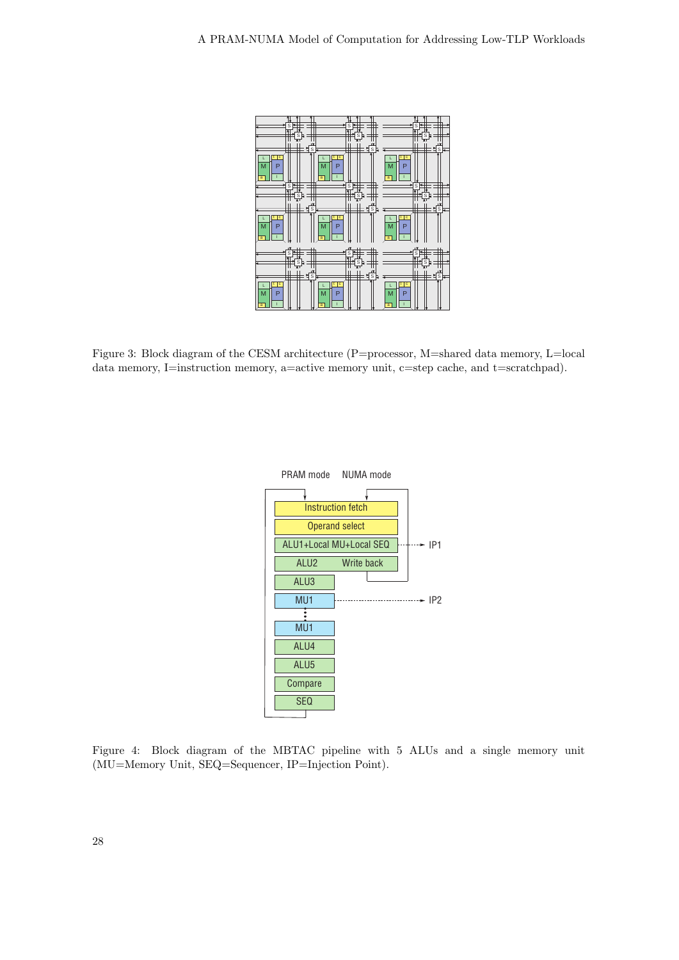

Figure 3: Block diagram of the CESM architecture (P=processor, M=shared data memory, L=local data memory, I=instruction memory, a=active memory unit, c=step cache, and t=scratchpad).



Figure 4: Block diagram of the MBTAC pipeline with 5 ALUs and a single memory unit (MU=Memory Unit, SEQ=Sequencer, IP=Injection Point).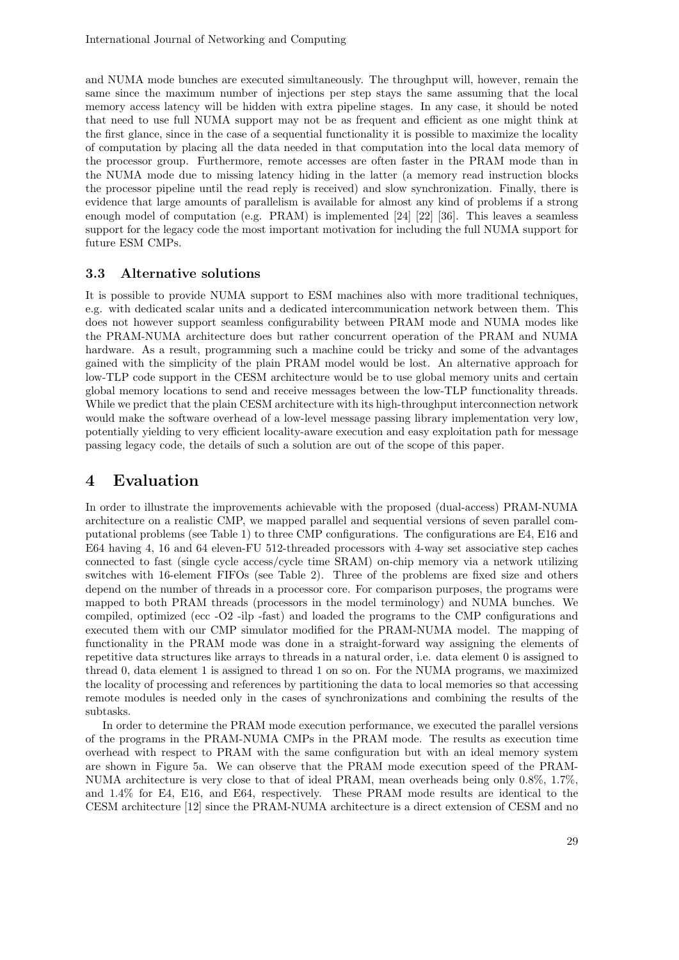and NUMA mode bunches are executed simultaneously. The throughput will, however, remain the same since the maximum number of injections per step stays the same assuming that the local memory access latency will be hidden with extra pipeline stages. In any case, it should be noted that need to use full NUMA support may not be as frequent and efficient as one might think at the first glance, since in the case of a sequential functionality it is possible to maximize the locality of computation by placing all the data needed in that computation into the local data memory of the processor group. Furthermore, remote accesses are often faster in the PRAM mode than in the NUMA mode due to missing latency hiding in the latter (a memory read instruction blocks the processor pipeline until the read reply is received) and slow synchronization. Finally, there is evidence that large amounts of parallelism is available for almost any kind of problems if a strong enough model of computation (e.g. PRAM) is implemented [24] [22] [36]. This leaves a seamless support for the legacy code the most important motivation for including the full NUMA support for future ESM CMPs.

### **3.3 Alternative solutions**

It is possible to provide NUMA support to ESM machines also with more traditional techniques, e.g. with dedicated scalar units and a dedicated intercommunication network between them. This does not however support seamless configurability between PRAM mode and NUMA modes like the PRAM-NUMA architecture does but rather concurrent operation of the PRAM and NUMA hardware. As a result, programming such a machine could be tricky and some of the advantages gained with the simplicity of the plain PRAM model would be lost. An alternative approach for low-TLP code support in the CESM architecture would be to use global memory units and certain global memory locations to send and receive messages between the low-TLP functionality threads. While we predict that the plain CESM architecture with its high-throughput interconnection network would make the software overhead of a low-level message passing library implementation very low, potentially yielding to very efficient locality-aware execution and easy exploitation path for message passing legacy code, the details of such a solution are out of the scope of this paper.

### **4 Evaluation**

In order to illustrate the improvements achievable with the proposed (dual-access) PRAM-NUMA architecture on a realistic CMP, we mapped parallel and sequential versions of seven parallel computational problems (see Table 1) to three CMP configurations. The configurations are E4, E16 and E64 having 4, 16 and 64 eleven-FU 512-threaded processors with 4-way set associative step caches connected to fast (single cycle access/cycle time SRAM) on-chip memory via a network utilizing switches with 16-element FIFOs (see Table 2). Three of the problems are fixed size and others depend on the number of threads in a processor core. For comparison purposes, the programs were mapped to both PRAM threads (processors in the model terminology) and NUMA bunches. We compiled, optimized (ecc -O2 -ilp -fast) and loaded the programs to the CMP configurations and executed them with our CMP simulator modified for the PRAM-NUMA model. The mapping of functionality in the PRAM mode was done in a straight-forward way assigning the elements of repetitive data structures like arrays to threads in a natural order, i.e. data element 0 is assigned to thread 0, data element 1 is assigned to thread 1 on so on. For the NUMA programs, we maximized the locality of processing and references by partitioning the data to local memories so that accessing remote modules is needed only in the cases of synchronizations and combining the results of the subtasks.

In order to determine the PRAM mode execution performance, we executed the parallel versions of the programs in the PRAM-NUMA CMPs in the PRAM mode. The results as execution time overhead with respect to PRAM with the same configuration but with an ideal memory system are shown in Figure 5a. We can observe that the PRAM mode execution speed of the PRAM-NUMA architecture is very close to that of ideal PRAM, mean overheads being only 0.8%, 1.7%, and 1.4% for E4, E16, and E64, respectively. These PRAM mode results are identical to the CESM architecture [12] since the PRAM-NUMA architecture is a direct extension of CESM and no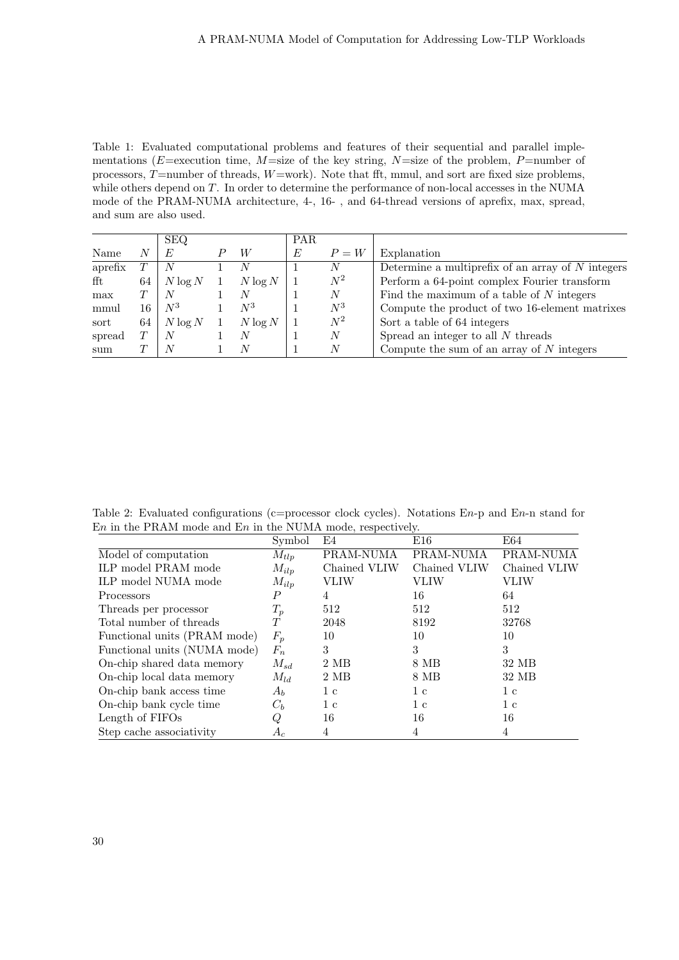Table 1: Evaluated computational problems and features of their sequential and parallel implementations (*E*=execution time, *M*=size of the key string, *N*=size of the problem, *P*=number of processors, *T*=number of threads, *W*=work). Note that fft, mmul, and sort are fixed size problems, while others depend on *T*. In order to determine the performance of non-local accesses in the NUMA mode of the PRAM-NUMA architecture, 4-, 16- , and 64-thread versions of aprefix, max, spread, and sum are also used.

|         |    | <b>SEQ</b> |            | PAR. |         |                                                     |
|---------|----|------------|------------|------|---------|-----------------------------------------------------|
| Name    |    | E          | W          | E    | $P = W$ | Explanation                                         |
| aprefix |    |            |            |      | N       | Determine a multiprefix of an array of $N$ integers |
| fft     | 64 | $N \log N$ | $N \log N$ |      | $N^2$   | Perform a 64-point complex Fourier transform        |
| max     |    |            |            |      | N       | Find the maximum of a table of $N$ integers         |
| mmul    | 16 | $N^3$      | $N^3$      |      | $N^3$   | Compute the product of two 16-element matrixes      |
| sort    | 64 | $N \log N$ | $N \log N$ |      | $N^2$   | Sort a table of 64 integers                         |
| spread  |    |            |            |      | N       | Spread an integer to all N threads                  |
| sum     |    |            |            |      | N       | Compute the sum of an array of $N$ integers         |

Table 2: Evaluated configurations (c=processor clock cycles). Notations E*n*-p and E*n*-n stand for En in the PRAM mode and En in the NUMA mode, respectively.

|                              | Symbol    | E4            | E16          | E64          |
|------------------------------|-----------|---------------|--------------|--------------|
| Model of computation         | $M_{tlp}$ | PRAM-NUMA     | PRAM-NUMA    | PRAM-NUMA    |
| ILP model PRAM mode          | $M_{ilp}$ | Chained VLIW  | Chained VLIW | Chained VLIW |
| ILP model NUMA mode          | $M_{ilp}$ | VLIW          | VLIW         | VLIW         |
| Processors                   | P         | 4             | 16           | 64           |
| Threads per processor        | $T_p$     | 512           | 512          | 512          |
| Total number of threads      | T         | 2048          | 8192         | 32768        |
| Functional units (PRAM mode) | $F_p$     | 10            | 10           | 10           |
| Functional units (NUMA mode) | $F_n$     | 3             | 3            | 3            |
| On-chip shared data memory   | $M_{sd}$  | 2 MB          | 8 MB         | 32 MB        |
| On-chip local data memory    | $M_{ld}$  | $2\text{ MB}$ | 8 MB         | 32 MB        |
| On-chip bank access time     | $A_h$     | 1c            | 1c           | 1c           |
| On-chip bank cycle time      | $C_b$     | 1c            | 1c           | 1c           |
| Length of FIFOs              | Q         | 16            | 16           | 16           |
| Step cache associativity     | $A_c$     | 4             | 4            | 4            |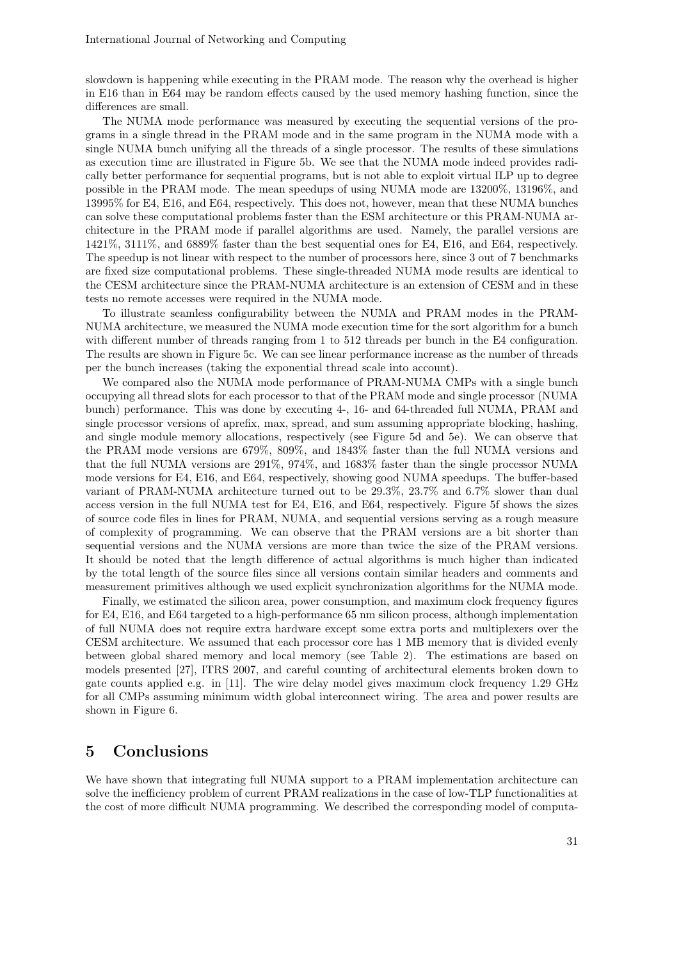slowdown is happening while executing in the PRAM mode. The reason why the overhead is higher in E16 than in E64 may be random effects caused by the used memory hashing function, since the differences are small.

The NUMA mode performance was measured by executing the sequential versions of the programs in a single thread in the PRAM mode and in the same program in the NUMA mode with a single NUMA bunch unifying all the threads of a single processor. The results of these simulations as execution time are illustrated in Figure 5b. We see that the NUMA mode indeed provides radically better performance for sequential programs, but is not able to exploit virtual ILP up to degree possible in the PRAM mode. The mean speedups of using NUMA mode are 13200%, 13196%, and 13995% for E4, E16, and E64, respectively. This does not, however, mean that these NUMA bunches can solve these computational problems faster than the ESM architecture or this PRAM-NUMA architecture in the PRAM mode if parallel algorithms are used. Namely, the parallel versions are 1421%, 3111%, and 6889% faster than the best sequential ones for E4, E16, and E64, respectively. The speedup is not linear with respect to the number of processors here, since 3 out of 7 benchmarks are fixed size computational problems. These single-threaded NUMA mode results are identical to the CESM architecture since the PRAM-NUMA architecture is an extension of CESM and in these tests no remote accesses were required in the NUMA mode.

To illustrate seamless configurability between the NUMA and PRAM modes in the PRAM-NUMA architecture, we measured the NUMA mode execution time for the sort algorithm for a bunch with different number of threads ranging from 1 to 512 threads per bunch in the E4 configuration. The results are shown in Figure 5c. We can see linear performance increase as the number of threads per the bunch increases (taking the exponential thread scale into account).

We compared also the NUMA mode performance of PRAM-NUMA CMPs with a single bunch occupying all thread slots for each processor to that of the PRAM mode and single processor (NUMA bunch) performance. This was done by executing 4-, 16- and 64-threaded full NUMA, PRAM and single processor versions of aprefix, max, spread, and sum assuming appropriate blocking, hashing, and single module memory allocations, respectively (see Figure 5d and 5e). We can observe that the PRAM mode versions are 679%, 809%, and 1843% faster than the full NUMA versions and that the full NUMA versions are 291%, 974%, and 1683% faster than the single processor NUMA mode versions for E4, E16, and E64, respectively, showing good NUMA speedups. The buffer-based variant of PRAM-NUMA architecture turned out to be 29.3%, 23.7% and 6.7% slower than dual access version in the full NUMA test for E4, E16, and E64, respectively. Figure 5f shows the sizes of source code files in lines for PRAM, NUMA, and sequential versions serving as a rough measure of complexity of programming. We can observe that the PRAM versions are a bit shorter than sequential versions and the NUMA versions are more than twice the size of the PRAM versions. It should be noted that the length difference of actual algorithms is much higher than indicated by the total length of the source files since all versions contain similar headers and comments and measurement primitives although we used explicit synchronization algorithms for the NUMA mode.

Finally, we estimated the silicon area, power consumption, and maximum clock frequency figures for E4, E16, and E64 targeted to a high-performance 65 nm silicon process, although implementation of full NUMA does not require extra hardware except some extra ports and multiplexers over the CESM architecture. We assumed that each processor core has 1 MB memory that is divided evenly between global shared memory and local memory (see Table 2). The estimations are based on models presented [27], ITRS 2007, and careful counting of architectural elements broken down to gate counts applied e.g. in [11]. The wire delay model gives maximum clock frequency 1.29 GHz for all CMPs assuming minimum width global interconnect wiring. The area and power results are shown in Figure 6.

# **5 Conclusions**

We have shown that integrating full NUMA support to a PRAM implementation architecture can solve the inefficiency problem of current PRAM realizations in the case of low-TLP functionalities at the cost of more difficult NUMA programming. We described the corresponding model of computa-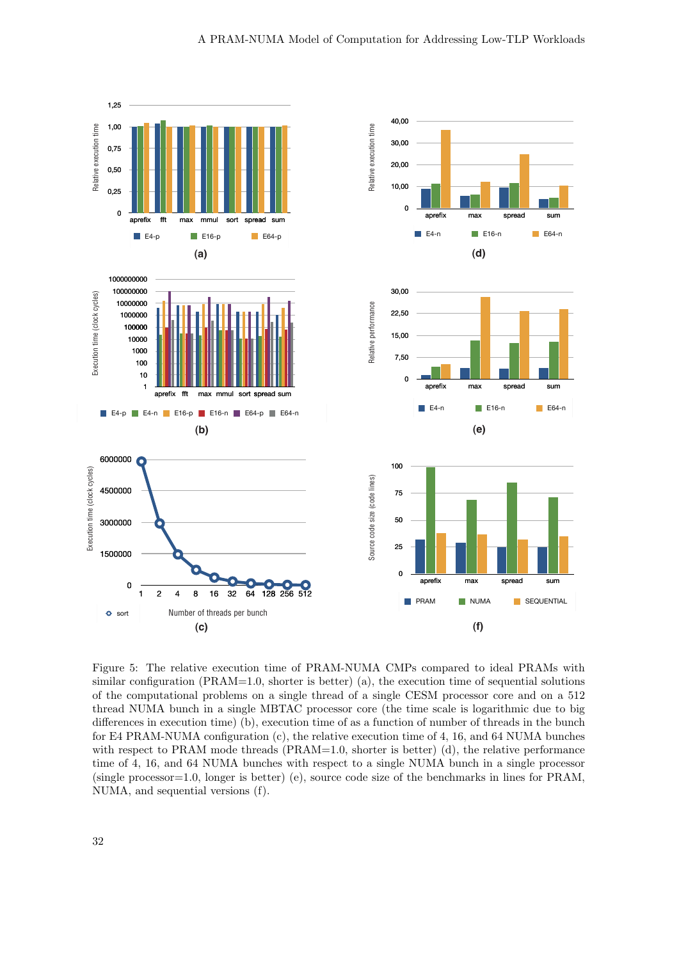

Figure 5: The relative execution time of PRAM-NUMA CMPs compared to ideal PRAMs with similar configuration ( $PRAM=1.0$ , shorter is better) (a), the execution time of sequential solutions of the computational problems on a single thread of a single CESM processor core and on a 512 thread NUMA bunch in a single MBTAC processor core (the time scale is logarithmic due to big differences in execution time) (b), execution time of as a function of number of threads in the bunch for E4 PRAM-NUMA configuration (c), the relative execution time of 4, 16, and 64 NUMA bunches with respect to PRAM mode threads (PRAM=1.0, shorter is better) (d), the relative performance time of 4, 16, and 64 NUMA bunches with respect to a single NUMA bunch in a single processor (single processor=1.0, longer is better) (e), source code size of the benchmarks in lines for PRAM, NUMA, and sequential versions (f).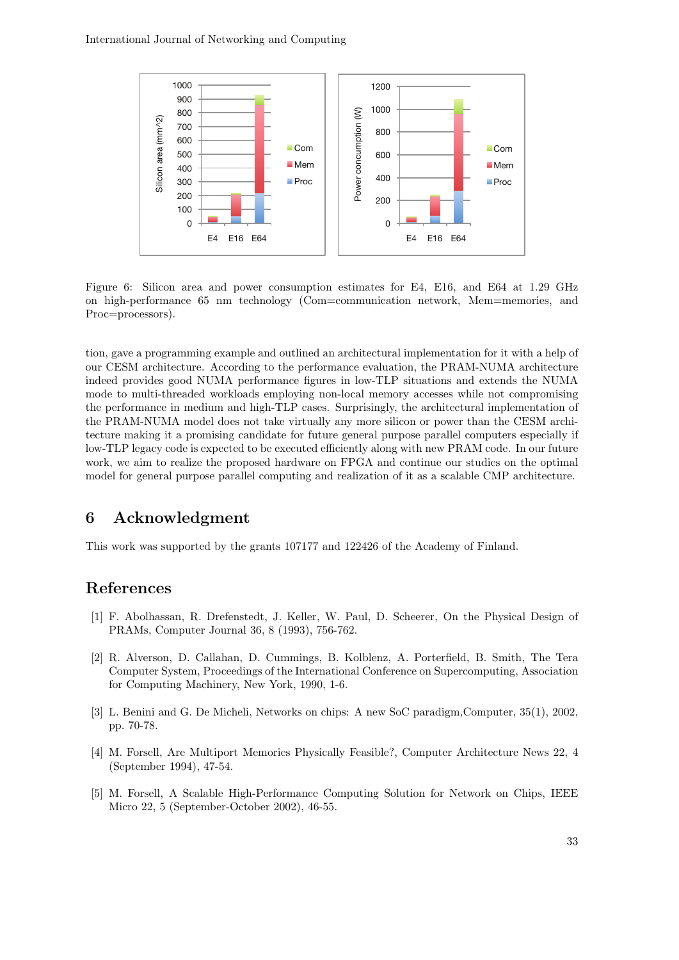

Figure 6: Silicon area and power consumption estimates for E4, E16, and E64 at 1.29 GHz on high-performance 65 nm technology (Com=communication network, Mem=memories, and Proc=processors).

tion, gave a programming example and outlined an architectural implementation for it with a help of our CESM architecture. According to the performance evaluation, the PRAM-NUMA architecture indeed provides good NUMA performance figures in low-TLP situations and extends the NUMA mode to multi-threaded workloads employing non-local memory accesses while not compromising the performance in medium and high-TLP cases. Surprisingly, the architectural implementation of the PRAM-NUMA model does not take virtually any more silicon or power than the CESM architecture making it a promising candidate for future general purpose parallel computers especially if low-TLP legacy code is expected to be executed efficiently along with new PRAM code. In our future work, we aim to realize the proposed hardware on FPGA and continue our studies on the optimal model for general purpose parallel computing and realization of it as a scalable CMP architecture.

## **6 Acknowledgment**

This work was supported by the grants 107177 and 122426 of the Academy of Finland.

### **References**

- [1] F. Abolhassan, R. Drefenstedt, J. Keller, W. Paul, D. Scheerer, On the Physical Design of PRAMs, Computer Journal 36, 8 (1993), 756-762.
- [2] R. Alverson, D. Callahan, D. Cummings, B. Kolblenz, A. Porterfield, B. Smith, The Tera Computer System, Proceedings of the International Conference on Supercomputing, Association for Computing Machinery, New York, 1990, 1-6.
- [3] L. Benini and G. De Micheli, Networks on chips: A new SoC paradigm,Computer, 35(1), 2002, pp. 70-78.
- [4] M. Forsell, Are Multiport Memories Physically Feasible?, Computer Architecture News 22, 4 (September 1994), 47-54.
- [5] M. Forsell, A Scalable High-Performance Computing Solution for Network on Chips, IEEE Micro 22, 5 (September-October 2002), 46-55.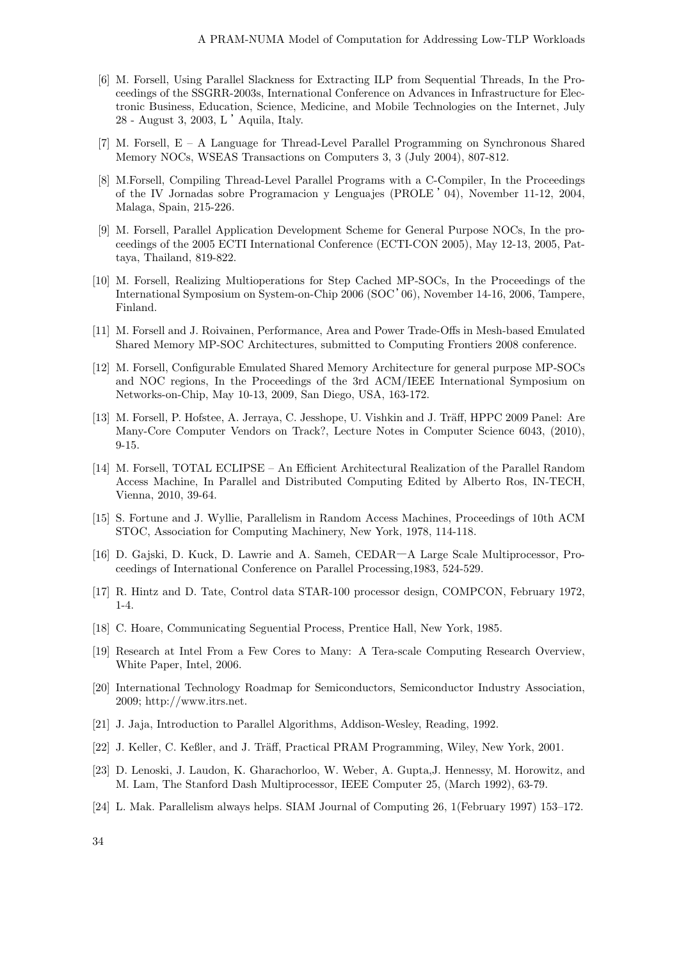- [6] M. Forsell, Using Parallel Slackness for Extracting ILP from Sequential Threads, In the Proceedings of the SSGRR-2003s, International Conference on Advances in Infrastructure for Electronic Business, Education, Science, Medicine, and Mobile Technologies on the Internet, July 28 - August 3, 2003, L 'Aquila, Italy.
- [7] M. Forsell, E A Language for Thread-Level Parallel Programming on Synchronous Shared Memory NOCs, WSEAS Transactions on Computers 3, 3 (July 2004), 807-812.
- [8] M.Forsell, Compiling Thread-Level Parallel Programs with a C-Compiler, In the Proceedings of the IV Jornadas sobre Programacion y Lenguajes (PROLE '04), November 11-12, 2004, Malaga, Spain, 215-226.
- [9] M. Forsell, Parallel Application Development Scheme for General Purpose NOCs, In the proceedings of the 2005 ECTI International Conference (ECTI-CON 2005), May 12-13, 2005, Pattaya, Thailand, 819-822.
- [10] M. Forsell, Realizing Multioperations for Step Cached MP-SOCs, In the Proceedings of the International Symposium on System-on-Chip 2006 (SOC'06), November 14-16, 2006, Tampere, Finland.
- [11] M. Forsell and J. Roivainen, Performance, Area and Power Trade-Offs in Mesh-based Emulated Shared Memory MP-SOC Architectures, submitted to Computing Frontiers 2008 conference.
- [12] M. Forsell, Configurable Emulated Shared Memory Architecture for general purpose MP-SOCs and NOC regions, In the Proceedings of the 3rd ACM/IEEE International Symposium on Networks-on-Chip, May 10-13, 2009, San Diego, USA, 163-172.
- [13] M. Forsell, P. Hofstee, A. Jerraya, C. Jesshope, U. Vishkin and J. Träff, HPPC 2009 Panel: Are Many-Core Computer Vendors on Track?, Lecture Notes in Computer Science 6043, (2010), 9-15.
- [14] M. Forsell, TOTAL ECLIPSE An Efficient Architectural Realization of the Parallel Random Access Machine, In Parallel and Distributed Computing Edited by Alberto Ros, IN-TECH, Vienna, 2010, 39-64.
- [15] S. Fortune and J. Wyllie, Parallelism in Random Access Machines, Proceedings of 10th ACM STOC, Association for Computing Machinery, New York, 1978, 114-118.
- [16] D. Gajski, D. Kuck, D. Lawrie and A. Sameh, CEDAR―A Large Scale Multiprocessor, Proceedings of International Conference on Parallel Processing,1983, 524-529.
- [17] R. Hintz and D. Tate, Control data STAR-100 processor design, COMPCON, February 1972, 1-4.
- [18] C. Hoare, Communicating Seguential Process, Prentice Hall, New York, 1985.
- [19] Research at Intel From a Few Cores to Many: A Tera-scale Computing Research Overview, White Paper, Intel, 2006.
- [20] International Technology Roadmap for Semiconductors, Semiconductor Industry Association, 2009; http://www.itrs.net.
- [21] J. Jaja, Introduction to Parallel Algorithms, Addison-Wesley, Reading, 1992.
- [22] J. Keller, C. Keßler, and J. Träff, Practical PRAM Programming, Wiley, New York, 2001.
- [23] D. Lenoski, J. Laudon, K. Gharachorloo, W. Weber, A. Gupta,J. Hennessy, M. Horowitz, and M. Lam, The Stanford Dash Multiprocessor, IEEE Computer 25, (March 1992), 63-79.
- [24] L. Mak. Parallelism always helps. SIAM Journal of Computing 26, 1(February 1997) 153–172.

34